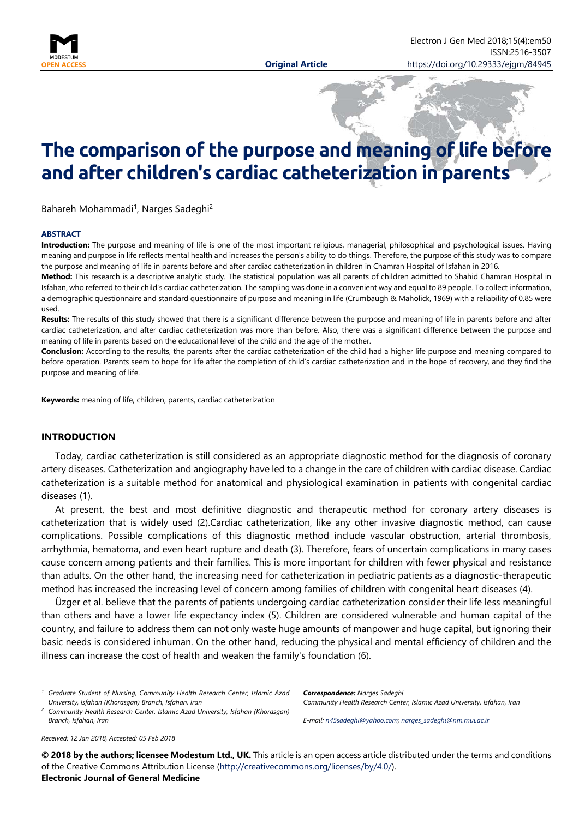

# **The comparison of the purpose and meaning of life before and after children's cardiac catheterization in parents**

Bahareh Mohammadi<sup>1</sup>, Narges Sadeghi<sup>2</sup>

#### **ABSTRACT**

**Introduction:** The purpose and meaning of life is one of the most important religious, managerial, philosophical and psychological issues. Having meaning and purpose in life reflects mental health and increases the person's ability to do things. Therefore, the purpose of this study was to compare the purpose and meaning of life in parents before and after cardiac catheterization in children in Chamran Hospital of Isfahan in 2016.

**Method:** This research is a descriptive analytic study. The statistical population was all parents of children admitted to Shahid Chamran Hospital in Isfahan, who referred to their child's cardiac catheterization. The sampling was done in a convenient way and equal to 89 people. To collect information, a demographic questionnaire and standard questionnaire of purpose and meaning in life (Crumbaugh & Maholick, 1969) with a reliability of 0.85 were used.

**Results:** The results of this study showed that there is a significant difference between the purpose and meaning of life in parents before and after cardiac catheterization, and after cardiac catheterization was more than before. Also, there was a significant difference between the purpose and meaning of life in parents based on the educational level of the child and the age of the mother.

**Conclusion:** According to the results, the parents after the cardiac catheterization of the child had a higher life purpose and meaning compared to before operation. Parents seem to hope for life after the completion of child's cardiac catheterization and in the hope of recovery, and they find the purpose and meaning of life.

**Keywords:** meaning of life, children, parents, cardiac catheterization

#### **INTRODUCTION**

Today, cardiac catheterization is still considered as an appropriate diagnostic method for the diagnosis of coronary artery diseases. Catheterization and angiography have led to a change in the care of children with cardiac disease. Cardiac catheterization is a suitable method for anatomical and physiological examination in patients with congenital cardiac diseases (1).

At present, the best and most definitive diagnostic and therapeutic method for coronary artery diseases is catheterization that is widely used (2).Cardiac catheterization, like any other invasive diagnostic method, can cause complications. Possible complications of this diagnostic method include vascular obstruction, arterial thrombosis, arrhythmia, hematoma, and even heart rupture and death (3). Therefore, fears of uncertain complications in many cases cause concern among patients and their families. This is more important for children with fewer physical and resistance than adults. On the other hand, the increasing need for catheterization in pediatric patients as a diagnostic-therapeutic method has increased the increasing level of concern among families of children with congenital heart diseases (4).

Üzger et al. believe that the parents of patients undergoing cardiac catheterization consider their life less meaningful than others and have a lower life expectancy index (5). Children are considered vulnerable and human capital of the country, and failure to address them can not only waste huge amounts of manpower and huge capital, but ignoring their basic needs is considered inhuman. On the other hand, reducing the physical and mental efficiency of children and the illness can increase the cost of health and weaken the family's foundation (6).

*Correspondence: Narges Sadeghi Community Health Research Center, Islamic Azad University, Isfahan, Iran*

*<sup>2</sup> Community Health Research Center, Islamic Azad University, Isfahan (Khorasgan) Branch, Isfahan, Iran*

*E-mail: [n45sadeghi@yahoo.com;](mailto:n45sadeghi@yahoo.com) [narges\\_sadeghi@nm.mui.ac.ir](mailto:narges_sadeghi@nm.mui.ac.ir)*

*Received: 12 Jan 2018, Accepted: 05 Feb 2018*

**© 2018 by the authors; licensee Modestum Ltd., UK.** This article is an open access article distributed under the terms and conditions of the Creative Commons Attribution License [\(http://creativecommons.org/licenses/by/4.0/\)](http://creativecommons.org/licenses/by/4.0/). **Electronic Journal of General Medicine**

*<sup>1</sup> Graduate Student of Nursing, Community Health Research Center, Islamic Azad University, Isfahan (Khorasgan) Branch, Isfahan, Iran*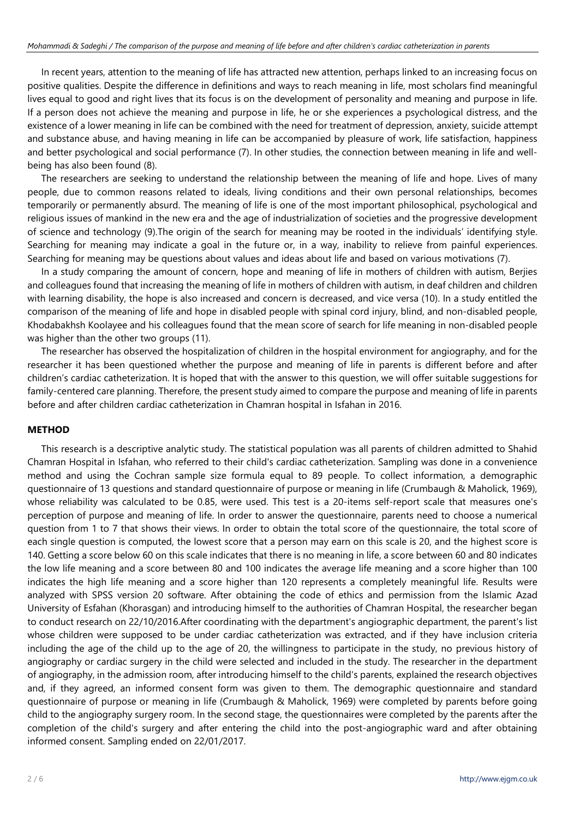In recent years, attention to the meaning of life has attracted new attention, perhaps linked to an increasing focus on positive qualities. Despite the difference in definitions and ways to reach meaning in life, most scholars find meaningful lives equal to good and right lives that its focus is on the development of personality and meaning and purpose in life. If a person does not achieve the meaning and purpose in life, he or she experiences a psychological distress, and the existence of a lower meaning in life can be combined with the need for treatment of depression, anxiety, suicide attempt and substance abuse, and having meaning in life can be accompanied by pleasure of work, life satisfaction, happiness and better psychological and social performance (7). In other studies, the connection between meaning in life and wellbeing has also been found (8).

The researchers are seeking to understand the relationship between the meaning of life and hope. Lives of many people, due to common reasons related to ideals, living conditions and their own personal relationships, becomes temporarily or permanently absurd. The meaning of life is one of the most important philosophical, psychological and religious issues of mankind in the new era and the age of industrialization of societies and the progressive development of science and technology (9).The origin of the search for meaning may be rooted in the individuals' identifying style. Searching for meaning may indicate a goal in the future or, in a way, inability to relieve from painful experiences. Searching for meaning may be questions about values and ideas about life and based on various motivations (7).

In a study comparing the amount of concern, hope and meaning of life in mothers of children with autism, Berjies and colleagues found that increasing the meaning of life in mothers of children with autism, in deaf children and children with learning disability, the hope is also increased and concern is decreased, and vice versa (10). In a study entitled the comparison of the meaning of life and hope in disabled people with spinal cord injury, blind, and non-disabled people, Khodabakhsh Koolayee and his colleagues found that the mean score of search for life meaning in non-disabled people was higher than the other two groups (11).

The researcher has observed the hospitalization of children in the hospital environment for angiography, and for the researcher it has been questioned whether the purpose and meaning of life in parents is different before and after children's cardiac catheterization. It is hoped that with the answer to this question, we will offer suitable suggestions for family-centered care planning. Therefore, the present study aimed to compare the purpose and meaning of life in parents before and after children cardiac catheterization in Chamran hospital in Isfahan in 2016.

## **METHOD**

This research is a descriptive analytic study. The statistical population was all parents of children admitted to Shahid Chamran Hospital in Isfahan, who referred to their child's cardiac catheterization. Sampling was done in a convenience method and using the Cochran sample size formula equal to 89 people. To collect information, a demographic questionnaire of 13 questions and standard questionnaire of purpose or meaning in life (Crumbaugh & Maholick, 1969), whose reliability was calculated to be 0.85, were used. This test is a 20-items self-report scale that measures one's perception of purpose and meaning of life. In order to answer the questionnaire, parents need to choose a numerical question from 1 to 7 that shows their views. In order to obtain the total score of the questionnaire, the total score of each single question is computed, the lowest score that a person may earn on this scale is 20, and the highest score is 140. Getting a score below 60 on this scale indicates that there is no meaning in life, a score between 60 and 80 indicates the low life meaning and a score between 80 and 100 indicates the average life meaning and a score higher than 100 indicates the high life meaning and a score higher than 120 represents a completely meaningful life. Results were analyzed with SPSS version 20 software. After obtaining the code of ethics and permission from the Islamic Azad University of Esfahan (Khorasgan) and introducing himself to the authorities of Chamran Hospital, the researcher began to conduct research on 22/10/2016.After coordinating with the department's angiographic department, the parent's list whose children were supposed to be under cardiac catheterization was extracted, and if they have inclusion criteria including the age of the child up to the age of 20, the willingness to participate in the study, no previous history of angiography or cardiac surgery in the child were selected and included in the study. The researcher in the department of angiography, in the admission room, after introducing himself to the child's parents, explained the research objectives and, if they agreed, an informed consent form was given to them. The demographic questionnaire and standard questionnaire of purpose or meaning in life (Crumbaugh & Maholick, 1969) were completed by parents before going child to the angiography surgery room. In the second stage, the questionnaires were completed by the parents after the completion of the child's surgery and after entering the child into the post-angiographic ward and after obtaining informed consent. Sampling ended on 22/01/2017.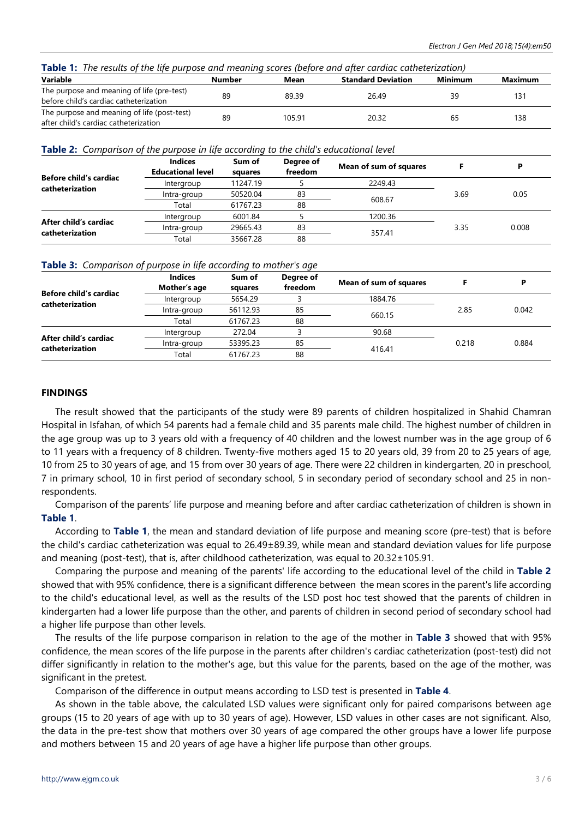| Table 1:<br>The results of the life purpose and meaning scores (before and after cardiac catheterization)                                                                                                                      |        |      |                           |         |         |  |  |
|--------------------------------------------------------------------------------------------------------------------------------------------------------------------------------------------------------------------------------|--------|------|---------------------------|---------|---------|--|--|
| Variable                                                                                                                                                                                                                       | Number | Mean | <b>Standard Deviation</b> | Minimum | Maximum |  |  |
| The contract of the contract of the state of the contract of the contract of the contract of the contract of the contract of the contract of the contract of the contract of the contract of the contract of the contract of t |        |      |                           |         |         |  |  |

| The purpose and meaning of life (pre-test)  |    | 89.39  | 26.49 | 131 |
|---------------------------------------------|----|--------|-------|-----|
| before child's cardiac catheterization      |    |        |       |     |
| The purpose and meaning of life (post-test) | RΟ | 105.91 | 20.32 | 138 |
| after child's cardiac catheterization       |    |        |       |     |

**Table 2:** *Comparison of the purpose in life according to the child's educational level*

| Before child's cardiac<br>catheterization | <b>Indices</b><br><b>Educational level</b> | Sum of<br>squares | Degree of<br>freedom | Mean of sum of squares |      | D     |
|-------------------------------------------|--------------------------------------------|-------------------|----------------------|------------------------|------|-------|
|                                           | Intergroup                                 | 11247.19          |                      | 2249.43                | 3.69 |       |
|                                           | Intra-group                                | 50520.04          | 83                   |                        |      | 0.05  |
|                                           | Total                                      | 61767.23          | 88                   | 608.67                 |      |       |
| After child's cardiac<br>catheterization  | Intergroup                                 | 6001.84           |                      | 1200.36                |      |       |
|                                           | Intra-group                                | 29665.43          | 83                   |                        | 3.35 | 0.008 |
|                                           | Total                                      | 35667.28          | 88                   | 357.41                 |      |       |

|  |  |  |  |  | Table 3: Comparison of purpose in life according to mother's age |
|--|--|--|--|--|------------------------------------------------------------------|
|--|--|--|--|--|------------------------------------------------------------------|

|                                           | <b>Indices</b>             | Sum of             | Degree of | Mean of sum of squares |       |       |
|-------------------------------------------|----------------------------|--------------------|-----------|------------------------|-------|-------|
| Before child's cardiac<br>catheterization | Mother's age<br>Intergroup | squares<br>5654.29 | freedom   | 1884.76                | 2.85  |       |
|                                           | Intra-group                | 56112.93           | 85        |                        |       | 0.042 |
|                                           | Total                      | 61767.23           | 88        | 660.15                 |       |       |
| After child's cardiac<br>catheterization  | Intergroup                 | 272.04             |           | 90.68                  |       |       |
|                                           | Intra-group                | 53395.23           | 85        |                        | 0.218 | 0.884 |
|                                           | Total                      | 61767.23           | 88        | 416.41                 |       |       |

#### **FINDINGS**

The result showed that the participants of the study were 89 parents of children hospitalized in Shahid Chamran Hospital in Isfahan, of which 54 parents had a female child and 35 parents male child. The highest number of children in the age group was up to 3 years old with a frequency of 40 children and the lowest number was in the age group of 6 to 11 years with a frequency of 8 children. Twenty-five mothers aged 15 to 20 years old, 39 from 20 to 25 years of age, 10 from 25 to 30 years of age, and 15 from over 30 years of age. There were 22 children in kindergarten, 20 in preschool, 7 in primary school, 10 in first period of secondary school, 5 in secondary period of secondary school and 25 in nonrespondents.

Comparison of the parents' life purpose and meaning before and after cardiac catheterization of children is shown in **Table 1**.

According to **Table 1**, the mean and standard deviation of life purpose and meaning score (pre-test) that is before the child's cardiac catheterization was equal to 26.49±89.39, while mean and standard deviation values for life purpose and meaning (post-test), that is, after childhood catheterization, was equal to 20.32±105.91.

Comparing the purpose and meaning of the parents' life according to the educational level of the child in **Table 2** showed that with 95% confidence, there is a significant difference between the mean scores in the parent's life according to the child's educational level, as well as the results of the LSD post hoc test showed that the parents of children in kindergarten had a lower life purpose than the other, and parents of children in second period of secondary school had a higher life purpose than other levels.

The results of the life purpose comparison in relation to the age of the mother in **Table 3** showed that with 95% confidence, the mean scores of the life purpose in the parents after children's cardiac catheterization (post-test) did not differ significantly in relation to the mother's age, but this value for the parents, based on the age of the mother, was significant in the pretest.

Comparison of the difference in output means according to LSD test is presented in **Table 4**.

As shown in the table above, the calculated LSD values were significant only for paired comparisons between age groups (15 to 20 years of age with up to 30 years of age). However, LSD values in other cases are not significant. Also, the data in the pre-test show that mothers over 30 years of age compared the other groups have a lower life purpose and mothers between 15 and 20 years of age have a higher life purpose than other groups.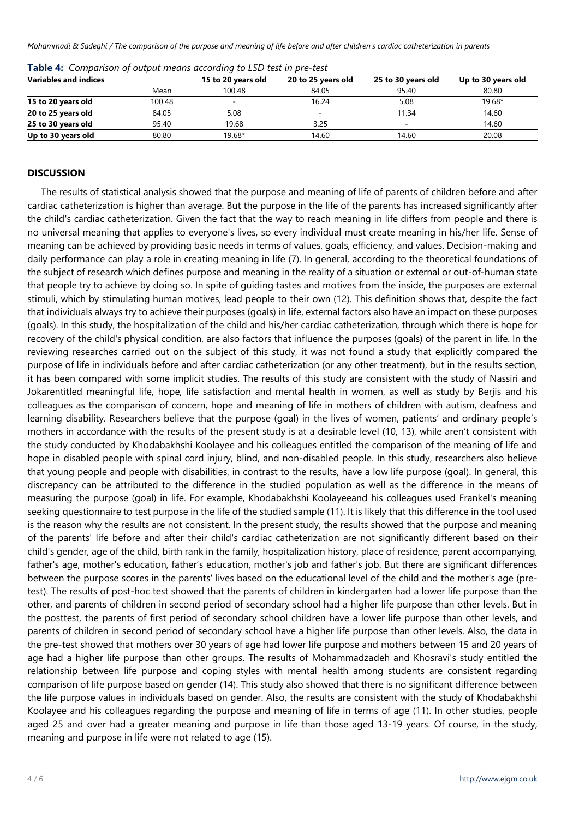| <b>Variables and indices</b> |        | 15 to 20 years old       | 20 to 25 years old | 25 to 30 years old | Up to 30 years old |
|------------------------------|--------|--------------------------|--------------------|--------------------|--------------------|
|                              | Mean   | 100.48                   | 84.05              | 95.40              | 80.80              |
| 15 to 20 years old           | 100.48 | $\overline{\phantom{a}}$ | 16.24              | 5.08               | 19.68*             |
| 20 to 25 years old           | 84.05  | 5.08                     | -                  | 11.34              | 14.60              |
| 25 to 30 years old           | 95.40  | 19.68                    | 3.25               |                    | 14.60              |
| Up to 30 years old           | 80.80  | 19.68*                   | 14.60              | 14.60              | 20.08              |

| <b>Table 4:</b> Comparison of output means according to LSD test in pre-test |  |  |  |
|------------------------------------------------------------------------------|--|--|--|
|------------------------------------------------------------------------------|--|--|--|

#### **DISCUSSION**

The results of statistical analysis showed that the purpose and meaning of life of parents of children before and after cardiac catheterization is higher than average. But the purpose in the life of the parents has increased significantly after the child's cardiac catheterization. Given the fact that the way to reach meaning in life differs from people and there is no universal meaning that applies to everyone's lives, so every individual must create meaning in his/her life. Sense of meaning can be achieved by providing basic needs in terms of values, goals, efficiency, and values. Decision-making and daily performance can play a role in creating meaning in life (7). In general, according to the theoretical foundations of the subject of research which defines purpose and meaning in the reality of a situation or external or out-of-human state that people try to achieve by doing so. In spite of guiding tastes and motives from the inside, the purposes are external stimuli, which by stimulating human motives, lead people to their own (12). This definition shows that, despite the fact that individuals always try to achieve their purposes (goals) in life, external factors also have an impact on these purposes (goals). In this study, the hospitalization of the child and his/her cardiac catheterization, through which there is hope for recovery of the child's physical condition, are also factors that influence the purposes (goals) of the parent in life. In the reviewing researches carried out on the subject of this study, it was not found a study that explicitly compared the purpose of life in individuals before and after cardiac catheterization (or any other treatment), but in the results section, it has been compared with some implicit studies. The results of this study are consistent with the study of Nassiri and Jokarentitled meaningful life, hope, life satisfaction and mental health in women, as well as study by Berjis and his colleagues as the comparison of concern, hope and meaning of life in mothers of children with autism, deafness and learning disability. Researchers believe that the purpose (goal) in the lives of women, patients' and ordinary people's mothers in accordance with the results of the present study is at a desirable level (10, 13), while aren't consistent with the study conducted by Khodabakhshi Koolayee and his colleagues entitled the comparison of the meaning of life and hope in disabled people with spinal cord injury, blind, and non-disabled people. In this study, researchers also believe that young people and people with disabilities, in contrast to the results, have a low life purpose (goal). In general, this discrepancy can be attributed to the difference in the studied population as well as the difference in the means of measuring the purpose (goal) in life. For example, Khodabakhshi Koolayeeand his colleagues used Frankel's meaning seeking questionnaire to test purpose in the life of the studied sample (11). It is likely that this difference in the tool used is the reason why the results are not consistent. In the present study, the results showed that the purpose and meaning of the parents' life before and after their child's cardiac catheterization are not significantly different based on their child's gender, age of the child, birth rank in the family, hospitalization history, place of residence, parent accompanying, father's age, mother's education, father's education, mother's job and father's job. But there are significant differences between the purpose scores in the parents' lives based on the educational level of the child and the mother's age (pretest). The results of post-hoc test showed that the parents of children in kindergarten had a lower life purpose than the other, and parents of children in second period of secondary school had a higher life purpose than other levels. But in the posttest, the parents of first period of secondary school children have a lower life purpose than other levels, and parents of children in second period of secondary school have a higher life purpose than other levels. Also, the data in the pre-test showed that mothers over 30 years of age had lower life purpose and mothers between 15 and 20 years of age had a higher life purpose than other groups. The results of Mohammadzadeh and Khosravi's study entitled the relationship between life purpose and coping styles with mental health among students are consistent regarding comparison of life purpose based on gender (14). This study also showed that there is no significant difference between the life purpose values in individuals based on gender. Also, the results are consistent with the study of Khodabakhshi Koolayee and his colleagues regarding the purpose and meaning of life in terms of age (11). In other studies, people aged 25 and over had a greater meaning and purpose in life than those aged 13-19 years. Of course, in the study, meaning and purpose in life were not related to age (15).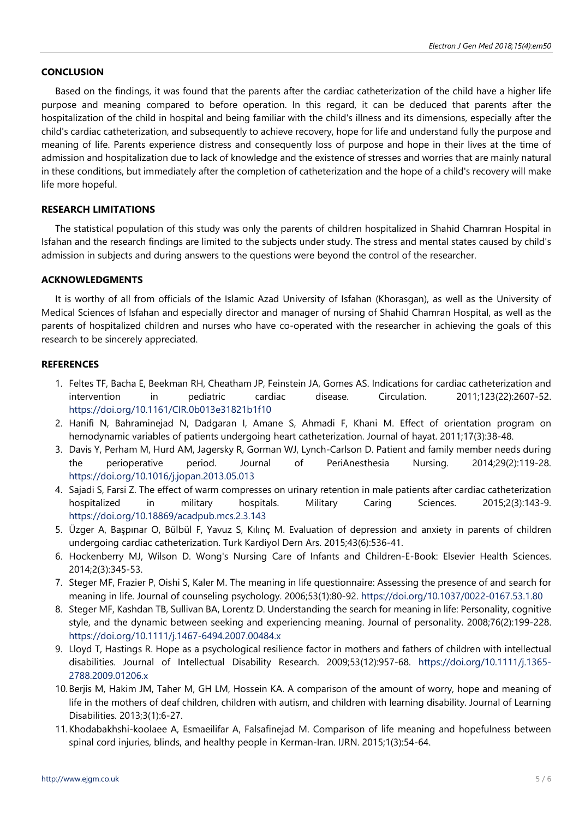## **CONCLUSION**

Based on the findings, it was found that the parents after the cardiac catheterization of the child have a higher life purpose and meaning compared to before operation. In this regard, it can be deduced that parents after the hospitalization of the child in hospital and being familiar with the child's illness and its dimensions, especially after the child's cardiac catheterization, and subsequently to achieve recovery, hope for life and understand fully the purpose and meaning of life. Parents experience distress and consequently loss of purpose and hope in their lives at the time of admission and hospitalization due to lack of knowledge and the existence of stresses and worries that are mainly natural in these conditions, but immediately after the completion of catheterization and the hope of a child's recovery will make life more hopeful.

#### **RESEARCH LIMITATIONS**

The statistical population of this study was only the parents of children hospitalized in Shahid Chamran Hospital in Isfahan and the research findings are limited to the subjects under study. The stress and mental states caused by child's admission in subjects and during answers to the questions were beyond the control of the researcher.

#### **ACKNOWLEDGMENTS**

It is worthy of all from officials of the Islamic Azad University of Isfahan (Khorasgan), as well as the University of Medical Sciences of Isfahan and especially director and manager of nursing of Shahid Chamran Hospital, as well as the parents of hospitalized children and nurses who have co-operated with the researcher in achieving the goals of this research to be sincerely appreciated.

#### **REFERENCES**

- 1. Feltes TF, Bacha E, Beekman RH, Cheatham JP, Feinstein JA, Gomes AS. Indications for cardiac catheterization and intervention in pediatric cardiac disease. Circulation. 2011;123(22):2607-52. <https://doi.org/10.1161/CIR.0b013e31821b1f10>
- 2. Hanifi N, Bahraminejad N, Dadgaran I, Amane S, Ahmadi F, Khani M. Effect of orientation program on hemodynamic variables of patients undergoing heart catheterization. Journal of hayat. 2011;17(3):38-48.
- 3. Davis Y, Perham M, Hurd AM, Jagersky R, Gorman WJ, Lynch-Carlson D. Patient and family member needs during the perioperative period. Journal of PeriAnesthesia Nursing. 2014;29(2):119-28. <https://doi.org/10.1016/j.jopan.2013.05.013>
- 4. Sajadi S, Farsi Z. The effect of warm compresses on urinary retention in male patients after cardiac catheterization hospitalized in military hospitals. Military Caring Sciences. 2015;2(3):143-9. <https://doi.org/10.18869/acadpub.mcs.2.3.143>
- 5. Üzger A, Başpınar O, Bülbül F, Yavuz S, Kılınç M. Evaluation of depression and anxiety in parents of children undergoing cardiac catheterization. Turk Kardiyol Dern Ars. 2015;43(6):536-41.
- 6. Hockenberry MJ, Wilson D. Wong's Nursing Care of Infants and Children-E-Book: Elsevier Health Sciences. 2014;2(3):345-53.
- 7. Steger MF, Frazier P, Oishi S, Kaler M. The meaning in life questionnaire: Assessing the presence of and search for meaning in life. Journal of counseling psychology. 2006;53(1):80-92. <https://doi.org/10.1037/0022-0167.53.1.80>
- 8. Steger MF, Kashdan TB, Sullivan BA, Lorentz D. Understanding the search for meaning in life: Personality, cognitive style, and the dynamic between seeking and experiencing meaning. Journal of personality. 2008;76(2):199-228. <https://doi.org/10.1111/j.1467-6494.2007.00484.x>
- 9. Lloyd T, Hastings R. Hope as a psychological resilience factor in mothers and fathers of children with intellectual disabilities. Journal of Intellectual Disability Research. 2009;53(12):957-68. [https://doi.org/10.1111/j.1365-](https://doi.org/10.1111/j.1365-2788.2009.01206.x) [2788.2009.01206.x](https://doi.org/10.1111/j.1365-2788.2009.01206.x)
- 10.Berjis M, Hakim JM, Taher M, GH LM, Hossein KA. A comparison of the amount of worry, hope and meaning of life in the mothers of deaf children, children with autism, and children with learning disability. Journal of Learning Disabilities. 2013;3(1):6-27.
- 11.Khodabakhshi-koolaee A, Esmaeilifar A, Falsafinejad M. Comparison of life meaning and hopefulness between spinal cord injuries, blinds, and healthy people in Kerman-Iran. IJRN. 2015;1(3):54-64.